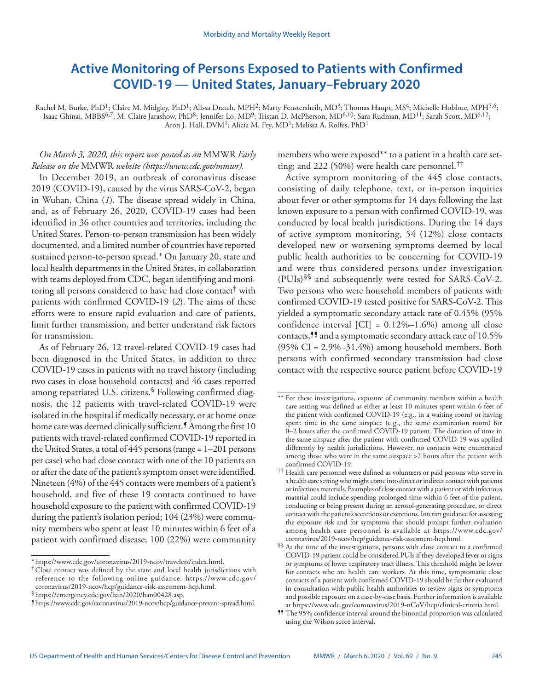## **Active Monitoring of Persons Exposed to Patients with Confirmed COVID-19 — United States, January–February 2020**

Rachel M. Burke, PhD<sup>1</sup>; Claire M. Midgley, PhD<sup>1</sup>; Alissa Dratch, MPH<sup>2</sup>; Marty Fenstersheib, MD<sup>3</sup>; Thomas Haupt, MS<sup>4</sup>; Michelle Holshue, MPH<sup>5,6</sup>; Isaac Ghinai, MBBS<sup>6,7</sup>; M. Claire Jarashow, PhD<sup>8</sup>; Jennifer Lo, MD<sup>9</sup>; Tristan D. McPherson, MD<sup>6,10</sup>; Sara Rudman, MD<sup>11</sup>; Sarah Scott, MD<sup>6,12</sup>; Aron J. Hall, DVM<sup>1</sup>; Alicia M. Fry, MD<sup>1</sup>; Melissa A. Rolfes, PhD<sup>1</sup>

## *On March 3, 2020, this report was posted as an* MMWR *Early Release on the* MMWR *website [\(https://www.cdc.gov/mmwr\)](https://www.cdc.gov/mmwr).*

In December 2019, an outbreak of coronavirus disease 2019 (COVID-19), caused by the virus SARS-CoV-2, began in Wuhan, China (*1*). The disease spread widely in China, and, as of February 26, 2020, COVID-19 cases had been identified in 36 other countries and territories, including the United States. Person-to-person transmission has been widely documented, and a limited number of countries have reported sustained person-to-person spread.\* On January 20, state and local health departments in the United States, in collaboration with teams deployed from CDC, began identifying and monitoring all persons considered to have had close contact<sup>†</sup> with patients with confirmed COVID-19 (*2*). The aims of these efforts were to ensure rapid evaluation and care of patients, limit further transmission, and better understand risk factors for transmission.

As of February 26, 12 travel-related COVID-19 cases had been diagnosed in the United States, in addition to three COVID-19 cases in patients with no travel history (including two cases in close household contacts) and 46 cases reported among repatriated U.S. citizens.<sup>§</sup> Following confirmed diagnosis, the 12 patients with travel-related COVID-19 were isolated in the hospital if medically necessary, or at home once home care was deemed clinically sufficient.<sup>9</sup> Among the first 10 patients with travel-related confirmed COVID-19 reported in the United States, a total of 445 persons (range = 1–201 persons per case) who had close contact with one of the 10 patients on or after the date of the patient's symptom onset were identified. Nineteen (4%) of the 445 contacts were members of a patient's household, and five of these 19 contacts continued to have household exposure to the patient with confirmed COVID-19 during the patient's isolation period; 104 (23%) were community members who spent at least 10 minutes within 6 feet of a patient with confirmed disease; 100 (22%) were community

members who were exposed\*\* to a patient in a health care setting; and 222 (50%) were health care personnel.††

Active symptom monitoring of the 445 close contacts, consisting of daily telephone, text, or in-person inquiries about fever or other symptoms for 14 days following the last known exposure to a person with confirmed COVID-19, was conducted by local health jurisdictions. During the 14 days of active symptom monitoring, 54 (12%) close contacts developed new or worsening symptoms deemed by local public health authorities to be concerning for COVID-19 and were thus considered persons under investigation (PUIs)§§ and subsequently were tested for SARS-CoV-2. Two persons who were household members of patients with confirmed COVID-19 tested positive for SARS-CoV-2. This yielded a symptomatic secondary attack rate of 0.45% (95% confidence interval  $[CI] = 0.12\% - 1.6\%$  among all close contacts,¶¶ and a symptomatic secondary attack rate of 10.5% (95% CI =  $2.9\% - 31.4\%$ ) among household members. Both persons with confirmed secondary transmission had close contact with the respective source patient before COVID-19

<sup>\*</sup> <https://www.cdc.gov/coronavirus/2019-ncov/travelers/index.html>. †Close contact was defined by the state and local health jurisdictions with reference to the following online guidance: [https://www.cdc.gov/](https://www.cdc.gov/coronavirus/2019-ncov/hcp/guidance-risk-assesment-hcp.html)

 $\frac{\$ \https://emergency.cdc.gov/han/2020/han00428.} {\$ \https://www.cdc.gov/coronavirus/2019-ncov/hcp/guidance-prevent-spread.html.}$  $\frac{\$ \https://emergency.cdc.gov/han/2020/han00428.} {\$ \https://www.cdc.gov/coronavirus/2019-ncov/hcp/guidance-prevent-spread.html.}$  $\frac{\$ \https://emergency.cdc.gov/han/2020/han00428.} {\$ \https://www.cdc.gov/coronavirus/2019-ncov/hcp/guidance-prevent-spread.html.}$ 

<sup>\*\*</sup> For these investigations, exposure of community members within a health care setting was defined as either at least 10 minutes spent within 6 feet of the patient with confirmed COVID-19 (e.g., in a waiting room) or having spent time in the same airspace (e.g., the same examination room) for 0–2 hours after the confirmed COVID-19 patient. The duration of time in the same airspace after the patient with confirmed COVID-19 was applied differently by health jurisdictions. However, no contacts were enumerated among those who were in the same airspace >2 hours after the patient with confirmed COVID-19.

<sup>††</sup> Health care personnel were defined as volunteers or paid persons who serve in a health care setting who might come into direct or indirect contact with patients or infectious materials. Examples of close contact with a patient or with infectious material could include spending prolonged time within 6 feet of the patient, conducting or being present during an aerosol-generating procedure, or direct contact with the patient's secretions or excretions. Interim guidance for assessing the exposure risk and for symptoms that should prompt further evaluation among health care personnel is available at [https://www.cdc.gov/](https://www.cdc.gov/coronavirus/2019-ncov/hcp/guidance-risk-assesment-hcp.html)

<sup>&</sup>lt;sup>§§</sup> At the time of the investigations, persons with close contact to a confirmed COVID-19 patient could be considered PUIs if they developed fever or signs or symptoms of lower respiratory tract illness. This threshold might be lower for contacts who are health care workers. At this time, symptomatic close contacts of a patient with confirmed COVID-19 should be further evaluated in consultation with public health authorities to review signs or symptoms and possible exposure on a case-by-case basis. Further information is available

<sup>&</sup>lt;sup>11</sup> The 95% confidence interval around the binomial proportion was calculated using the Wilson score interval.